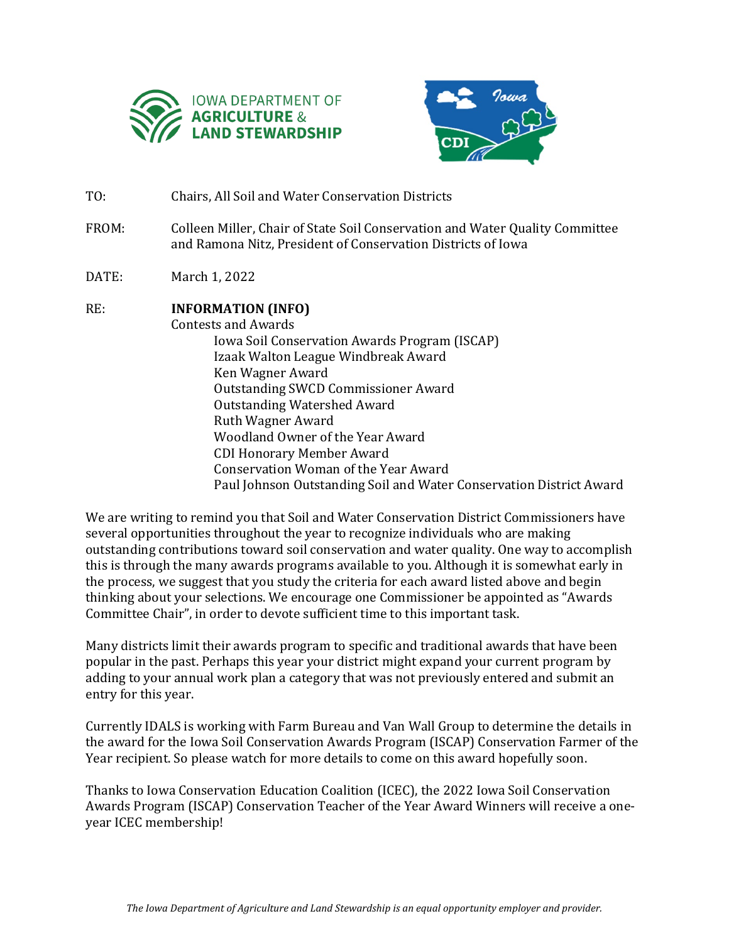



- TO: Chairs, All Soil and Water Conservation Districts
- FROM: Colleen Miller, Chair of State Soil Conservation and Water Quality Committee and Ramona Nitz, President of Conservation Districts of Iowa
- DATE: March 1, 2022

## RE: **INFORMATION (INFO)**

Contests and Awards Iowa Soil Conservation Awards Program (ISCAP) Izaak Walton League Windbreak Award Ken Wagner Award Outstanding SWCD Commissioner Award Outstanding Watershed Award Ruth Wagner Award Woodland Owner of the Year Award CDI Honorary Member Award Conservation Woman of the Year Award Paul Johnson Outstanding Soil and Water Conservation District Award

We are writing to remind you that Soil and Water Conservation District Commissioners have several opportunities throughout the year to recognize individuals who are making outstanding contributions toward soil conservation and water quality. One way to accomplish this is through the many awards programs available to you. Although it is somewhat early in the process, we suggest that you study the criteria for each award listed above and begin thinking about your selections. We encourage one Commissioner be appointed as "Awards Committee Chair", in order to devote sufficient time to this important task.

Many districts limit their awards program to specific and traditional awards that have been popular in the past. Perhaps this year your district might expand your current program by adding to your annual work plan a category that was not previously entered and submit an entry for this year.

Currently IDALS is working with Farm Bureau and Van Wall Group to determine the details in the award for the Iowa Soil Conservation Awards Program (ISCAP) Conservation Farmer of the Year recipient. So please watch for more details to come on this award hopefully soon.

Thanks to Iowa Conservation Education Coalition (ICEC), the 2022 Iowa Soil Conservation Awards Program (ISCAP) Conservation Teacher of the Year Award Winners will receive a oneyear ICEC membership!